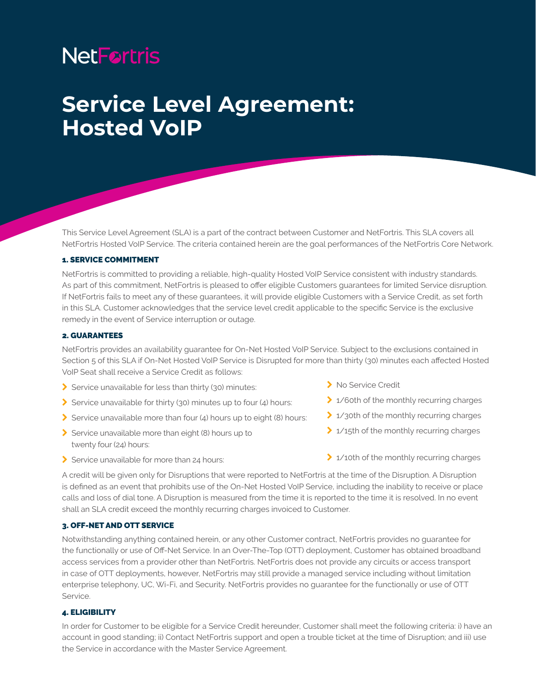# **NetFortris**

## **Service Level Agreement: Hosted VoIP**

This Service Level Agreement (SLA) is a part of the contract between Customer and NetFortris. This SLA covers all NetFortris Hosted VoIP Service. The criteria contained herein are the goal performances of the NetFortris Core Network.

## 1. SERVICE COMMITMENT

NetFortris is committed to providing a reliable, high-quality Hosted VoIP Service consistent with industry standards. As part of this commitment, NetFortris is pleased to offer eligible Customers guarantees for limited Service disruption. If NetFortris fails to meet any of these guarantees, it will provide eligible Customers with a Service Credit, as set forth in this SLA. Customer acknowledges that the service level credit applicable to the specific Service is the exclusive remedy in the event of Service interruption or outage.

#### 2. GUARANTEES

NetFortris provides an availability guarantee for On-Net Hosted VoIP Service. Subject to the exclusions contained in Section 5 of this SLA if On-Net Hosted VoIP Service is Disrupted for more than thirty (30) minutes each affected Hosted VoIP Seat shall receive a Service Credit as follows:

- $\blacktriangleright$  Service unavailable for less than thirty (30) minutes:
- $\blacktriangleright$  Service unavailable for thirty (30) minutes up to four (4) hours:
- Service unavailable more than four  $(4)$  hours up to eight  $(8)$  hours:
- $\blacktriangleright$  Service unavailable more than eight (8) hours up to twenty four (24) hours:
- $\sum$  Service unavailable for more than 24 hours:
- > No Service Credit
- $\geq 1/6$ 0th of the monthly recurring charges
- $\geq 1/3$ 0th of the monthly recurring charges
- $\geq 1/15$ th of the monthly recurring charges
- > 1/10th of the monthly recurring charges

A credit will be given only for Disruptions that were reported to NetFortris at the time of the Disruption. A Disruption is defined as an event that prohibits use of the On-Net Hosted VoIP Service, including the inability to receive or place calls and loss of dial tone. A Disruption is measured from the time it is reported to the time it is resolved. In no event shall an SLA credit exceed the monthly recurring charges invoiced to Customer.

## 3. OFF-NET AND OTT SERVICE

Notwithstanding anything contained herein, or any other Customer contract, NetFortris provides no guarantee for the functionally or use of Off-Net Service. In an Over-The-Top (OTT) deployment, Customer has obtained broadband access services from a provider other than NetFortris. NetFortris does not provide any circuits or access transport in case of OTT deployments, however, NetFortris may still provide a managed service including without limitation enterprise telephony, UC, Wi-Fi, and Security. NetFortris provides no guarantee for the functionally or use of OTT Service.

#### 4. ELIGIBILITY

In order for Customer to be eligible for a Service Credit hereunder, Customer shall meet the following criteria: i) have an account in good standing; ii) Contact NetFortris support and open a trouble ticket at the time of Disruption; and iii) use the Service in accordance with the Master Service Agreement.